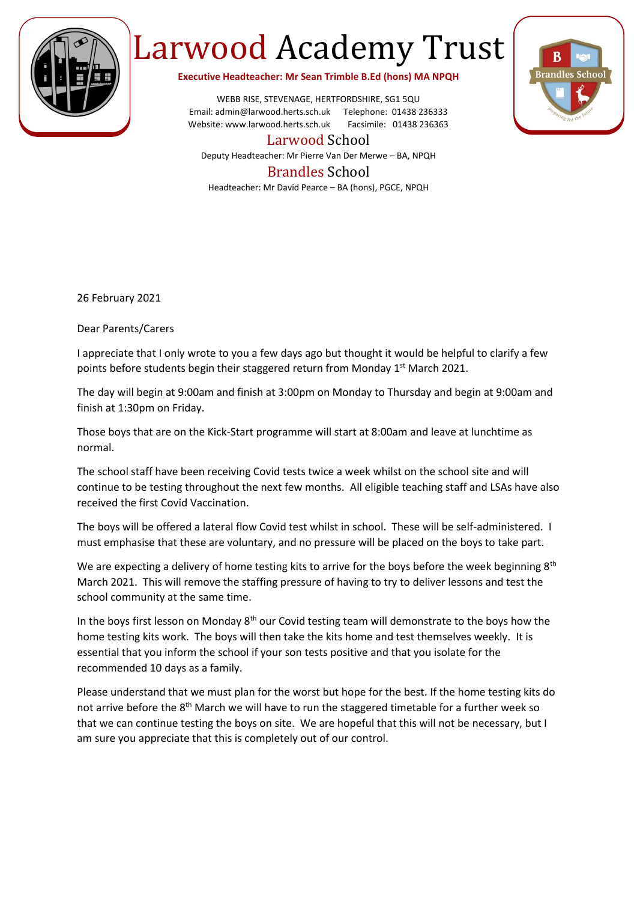

## Larwood Academy Trust

**Executive Headteacher: Mr Sean Trimble B.Ed (hons) MA NPQH**

WEBB RISE, STEVENAGE, HERTFORDSHIRE, SG1 5QU Email: admin@larwood.herts.sch.uk Telephone: 01438 236333 Website: www.larwood.herts.sch.uk Facsimile: 01438 236363



Larwood School Deputy Headteacher: Mr Pierre Van Der Merwe – BA, NPQH

## Brandles School

Headteacher: Mr David Pearce – BA (hons), PGCE, NPQH

26 February 2021

Dear Parents/Carers

I appreciate that I only wrote to you a few days ago but thought it would be helpful to clarify a few points before students begin their staggered return from Monday 1<sup>st</sup> March 2021.

The day will begin at 9:00am and finish at 3:00pm on Monday to Thursday and begin at 9:00am and finish at 1:30pm on Friday.

Those boys that are on the Kick-Start programme will start at 8:00am and leave at lunchtime as normal.

The school staff have been receiving Covid tests twice a week whilst on the school site and will continue to be testing throughout the next few months. All eligible teaching staff and LSAs have also received the first Covid Vaccination.

The boys will be offered a lateral flow Covid test whilst in school. These will be self-administered. I must emphasise that these are voluntary, and no pressure will be placed on the boys to take part.

We are expecting a delivery of home testing kits to arrive for the boys before the week beginning 8<sup>th</sup> March 2021. This will remove the staffing pressure of having to try to deliver lessons and test the school community at the same time.

In the boys first lesson on Monday  $8<sup>th</sup>$  our Covid testing team will demonstrate to the boys how the home testing kits work. The boys will then take the kits home and test themselves weekly. It is essential that you inform the school if your son tests positive and that you isolate for the recommended 10 days as a family.

Please understand that we must plan for the worst but hope for the best. If the home testing kits do not arrive before the 8<sup>th</sup> March we will have to run the staggered timetable for a further week so that we can continue testing the boys on site. We are hopeful that this will not be necessary, but I am sure you appreciate that this is completely out of our control.